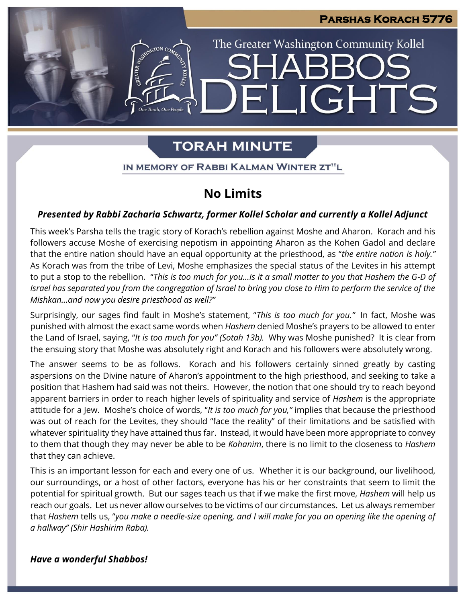**IGHTS** 

The Greater Washington Community Kollel

# **TORAH MINUTE**

 $\blacksquare$ 

#### IN MEMORY OF RABBI KALMAN WINTER ZT"L

## **No Limits**

### *Presented by Rabbi Zacharia Schwartz, former Kollel Scholar and currently a Kollel Adjunct*

This week's Parsha tells the tragic story of Korach's rebellion against Moshe and Aharon. Korach and his followers accuse Moshe of exercising nepotism in appointing Aharon as the Kohen Gadol and declare that the entire nation should have an equal opportunity at the priesthood, as "*the entire nation is holy."* As Korach was from the tribe of Levi, Moshe emphasizes the special status of the Levites in his attempt to put a stop to the rebellion. "*This is too much for you…Is it a small matter to you that Hashem the G-D of Israel has separated you from the congregation of Israel to bring you close to Him to perform the service of the Mishkan…and now you desire priesthood as well?"*

Surprisingly, our sages find fault in Moshe's statement, "*This is too much for you."* In fact, Moshe was punished with almost the exact same words when *Hashem* denied Moshe's prayers to be allowed to enter the Land of Israel, saying, "*It is too much for you" (Sotah 13b).* Why was Moshe punished? It is clear from the ensuing story that Moshe was absolutely right and Korach and his followers were absolutely wrong.

The answer seems to be as follows. Korach and his followers certainly sinned greatly by casting aspersions on the Divine nature of Aharon's appointment to the high priesthood, and seeking to take a position that Hashem had said was not theirs. However, the notion that one should try to reach beyond apparent barriers in order to reach higher levels of spirituality and service of *Hashem* is the appropriate attitude for a Jew. Moshe's choice of words, "*It is too much for you,"* implies that because the priesthood was out of reach for the Levites, they should "face the reality" of their limitations and be satisfied with whatever spirituality they have attained thus far. Instead, it would have been more appropriate to convey to them that though they may never be able to be *Kohanim*, there is no limit to the closeness to *Hashem* that they can achieve.

This is an important lesson for each and every one of us. Whether it is our background, our livelihood, our surroundings, or a host of other factors, everyone has his or her constraints that seem to limit the potential for spiritual growth. But our sages teach us that if we make the first move, *Hashem* will help us reach our goals. Let us never allow ourselves to be victims of our circumstances. Let us always remember that *Hashem* tells us, "*you make a needle-size opening, and I will make for you an opening like the opening of a hallway" (Shir Hashirim Raba).*

#### *Have a wonderful Shabbos!*